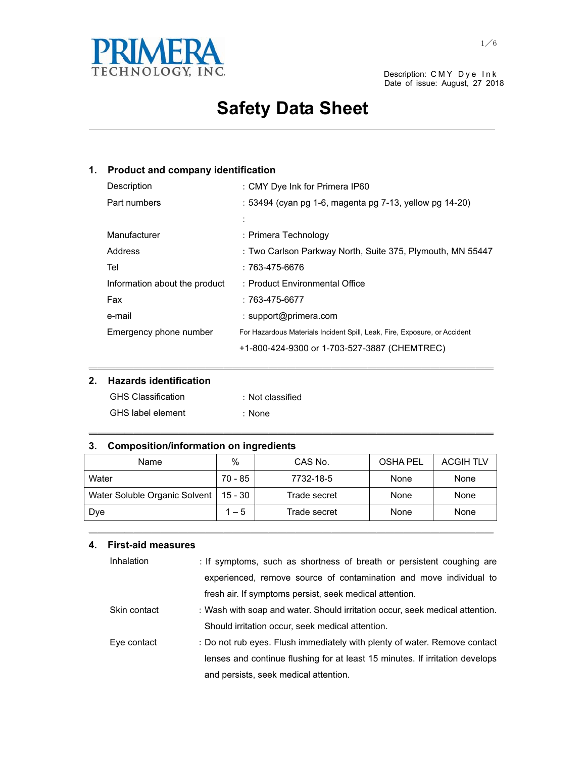

Date of issue: August, 27 2018

# **Safety Data Sheet**

and the control of the control of the control of the control of the control of the control of the control of the

### **1. Product and company identification**

| Description                   | : CMY Dye Ink for Primera IP60                                            |
|-------------------------------|---------------------------------------------------------------------------|
| Part numbers                  | : 53494 (cyan pg 1-6, magenta pg 7-13, yellow pg 14-20)                   |
|                               | $\vdots$                                                                  |
| Manufacturer                  | : Primera Technology                                                      |
| Address                       | : Two Carlson Parkway North, Suite 375, Plymouth, MN 55447                |
| Tel                           | : 763-475-6676                                                            |
| Information about the product | : Product Environmental Office                                            |
| Fax                           | $:763-475-6677$                                                           |
| e-mail                        | : support@primera.com                                                     |
| Emergency phone number        | For Hazardous Materials Incident Spill, Leak, Fire, Exposure, or Accident |
|                               | +1-800-424-9300 or 1-703-527-3887 (CHEMTREC)                              |

### **2. Hazards identification**

| <b>GHS Classification</b> | : Not classified |
|---------------------------|------------------|
| <b>GHS</b> label element  | : None           |

#### **3. Composition/information on ingredients**

| Name                          | $\%$    | CAS No.      | <b>OSHA PEL</b> | <b>ACGIH TLV</b> |
|-------------------------------|---------|--------------|-----------------|------------------|
| Water                         | 70 - 85 | 7732-18-5    | None            | None             |
| Water Soluble Organic Solvent | 15 - 30 | Trade secret | None            | None             |
| Dye                           | $1 - 5$ | Trade secret | None            | None             |

㹝㹝㹝㹝㹝㹝㹝㹝㹝㹝㹝㹝㹝㹝㹝㹝㹝㹝㹝㹝㹝㹝㹝㹝㹝㹝㹝㹝㹝㹝㹝㹝㹝㹝㹝㹝㹝㹝㹝㹝㹝㹝㹝㹝㹝

㹝㹝㹝㹝㹝㹝㹝㹝㹝㹝㹝㹝㹝㹝㹝㹝㹝㹝㹝㹝㹝㹝㹝㹝㹝㹝㹝㹝㹝㹝㹝㹝㹝㹝㹝㹝㹝㹝㹝㹝㹝㹝㹝㹝㹝

㹝㹝㹝㹝㹝㹝㹝㹝㹝㹝㹝㹝㹝㹝㹝㹝㹝㹝㹝㹝㹝㹝㹝㹝㹝㹝㹝㹝㹝㹝㹝㹝㹝㹝㹝㹝㹝㹝㹝㹝㹝㹝㹝㹝㹝

#### **4. First-aid measures**

| Inhalation   | : If symptoms, such as shortness of breath or persistent coughing are        |
|--------------|------------------------------------------------------------------------------|
|              | experienced, remove source of contamination and move individual to           |
|              | fresh air. If symptoms persist, seek medical attention.                      |
| Skin contact | : Wash with soap and water. Should irritation occur, seek medical attention. |
|              | Should irritation occur, seek medical attention.                             |
| Eye contact  | : Do not rub eyes. Flush immediately with plenty of water. Remove contact    |
|              | lenses and continue flushing for at least 15 minutes. If irritation develops |
|              | and persists, seek medical attention.                                        |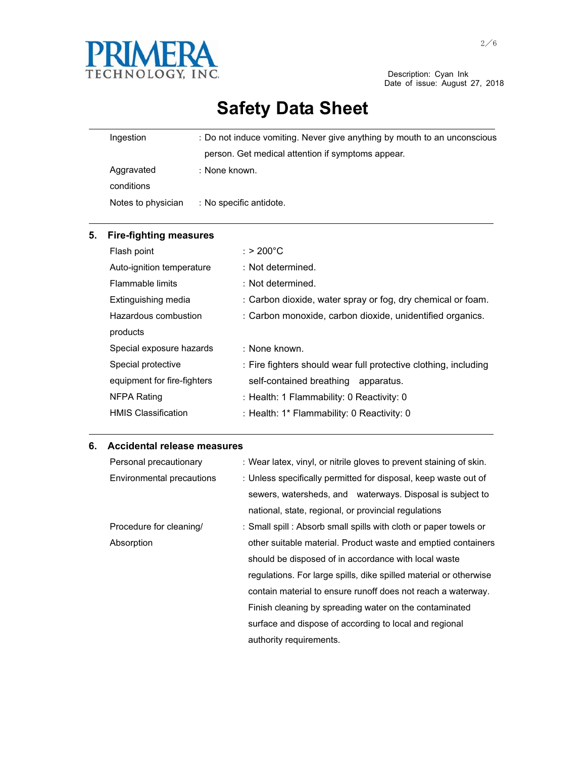

Date of issue: August 27, 2018

# **Safety Data Sheet**

| Ingestion                | : Do not induce vomiting. Never give anything by mouth to an unconscious |
|--------------------------|--------------------------------------------------------------------------|
|                          | person. Get medical attention if symptoms appear.                        |
| Aggravated<br>conditions | : None known.                                                            |
| Notes to physician       | : No specific antidote.                                                  |

| 5. | <b>Fire-fighting measures</b> |                                                                 |
|----|-------------------------------|-----------------------------------------------------------------|
|    | Flash point                   | : $> 200^{\circ}$ C                                             |
|    | Auto-ignition temperature     | : Not determined.                                               |
|    | Flammable limits              | : Not determined.                                               |
|    | Extinguishing media           | : Carbon dioxide, water spray or fog, dry chemical or foam.     |
|    | Hazardous combustion          | : Carbon monoxide, carbon dioxide, unidentified organics.       |
|    | products                      |                                                                 |
|    | Special exposure hazards      | : None known.                                                   |
|    | Special protective            | : Fire fighters should wear full protective clothing, including |
|    | equipment for fire-fighters   | self-contained breathing apparatus.                             |
|    | NFPA Rating                   | : Health: 1 Flammability: 0 Reactivity: 0                       |
|    | <b>HMIS Classification</b>    | : Health: 1* Flammability: 0 Reactivity: 0                      |

<u> 1989 - Johann Stoff, amerikansk politiker (d. 1989)</u>

### **6. Accidental release measures**

| Personal precautionary    | : Wear latex, vinyl, or nitrile gloves to prevent staining of skin. |
|---------------------------|---------------------------------------------------------------------|
| Environmental precautions | : Unless specifically permitted for disposal, keep waste out of     |
|                           | sewers, watersheds, and waterways. Disposal is subject to           |
|                           | national, state, regional, or provincial regulations                |
| Procedure for cleaning/   | : Small spill : Absorb small spills with cloth or paper towels or   |
| Absorption                | other suitable material. Product waste and emptied containers       |
|                           | should be disposed of in accordance with local waste                |
|                           | regulations. For large spills, dike spilled material or otherwise   |
|                           | contain material to ensure runoff does not reach a waterway.        |
|                           | Finish cleaning by spreading water on the contaminated              |
|                           | surface and dispose of according to local and regional              |
|                           | authority requirements.                                             |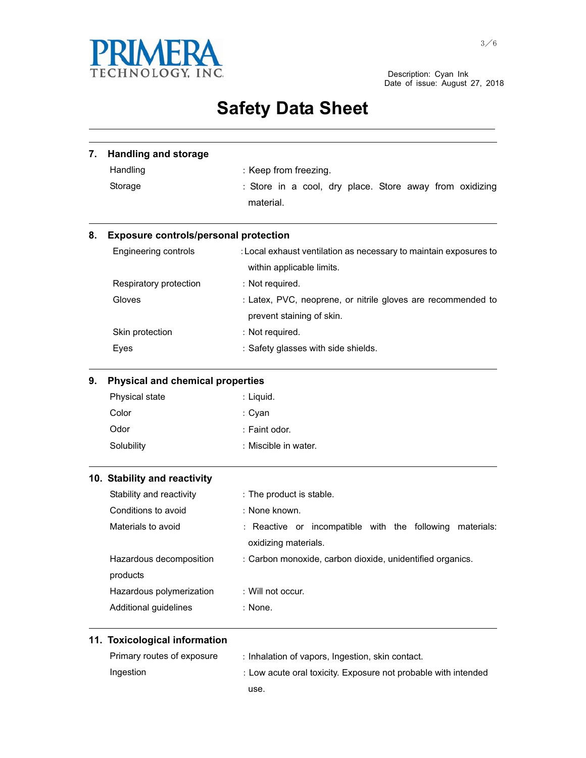

Date of issue: August 27, 2018

## **Safety Data Sheet** and the control of the control of the control of the control of the control of the control of the control of the

| 7. | <b>Handling and storage</b>                  |                                                                                                |  |
|----|----------------------------------------------|------------------------------------------------------------------------------------------------|--|
|    | Handling                                     | : Keep from freezing.                                                                          |  |
|    | Storage                                      | : Store in a cool, dry place. Store away from oxidizing                                        |  |
|    |                                              | material.                                                                                      |  |
| 8. | <b>Exposure controls/personal protection</b> |                                                                                                |  |
|    | Engineering controls                         | : Local exhaust ventilation as necessary to maintain exposures to<br>within applicable limits. |  |
|    | Respiratory protection                       | : Not required.                                                                                |  |
|    | Gloves                                       | : Latex, PVC, neoprene, or nitrile gloves are recommended to                                   |  |
|    |                                              | prevent staining of skin.                                                                      |  |
|    | Skin protection                              | : Not required.                                                                                |  |
|    | Eyes                                         | : Safety glasses with side shields.                                                            |  |
| 9. | <b>Physical and chemical properties</b>      |                                                                                                |  |
|    | Physical state                               | : Liquid.                                                                                      |  |
|    | Color                                        | : Cyan                                                                                         |  |
|    | Odor                                         | : Faint odor.                                                                                  |  |
|    | Solubility                                   | : Miscible in water.                                                                           |  |
|    | 10. Stability and reactivity                 |                                                                                                |  |
|    | Stability and reactivity                     | : The product is stable.                                                                       |  |
|    | Conditions to avoid                          | : None known.                                                                                  |  |
|    | Materials to avoid                           | : Reactive or incompatible with the following<br>materials:                                    |  |
|    |                                              | oxidizing materials.                                                                           |  |
|    | Hazardous decomposition                      | : Carbon monoxide, carbon dioxide, unidentified organics.                                      |  |
|    | products                                     |                                                                                                |  |
|    | Hazardous polymerization                     | : Will not occur.                                                                              |  |
|    | Additional guidelines                        | : None.                                                                                        |  |
|    | 11. Toxicological information                |                                                                                                |  |
|    | Primary routes of exposure                   | : Inhalation of vapors, Ingestion, skin contact.                                               |  |
|    | Ingestion                                    | : Low acute oral toxicity. Exposure not probable with intended                                 |  |

use.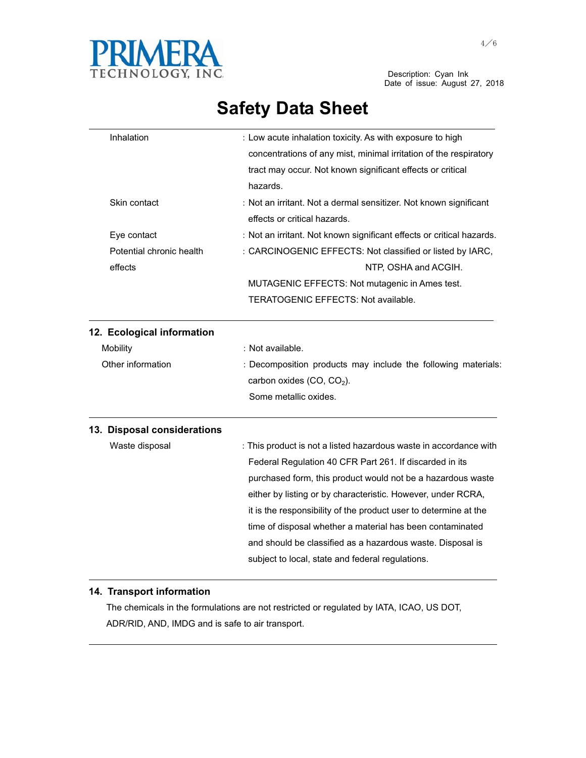

| Inhalation                  | : Low acute inhalation toxicity. As with exposure to high             |
|-----------------------------|-----------------------------------------------------------------------|
|                             | concentrations of any mist, minimal irritation of the respiratory     |
|                             | tract may occur. Not known significant effects or critical            |
|                             | hazards.                                                              |
| Skin contact                | : Not an irritant. Not a dermal sensitizer. Not known significant     |
|                             | effects or critical hazards.                                          |
| Eye contact                 | : Not an irritant. Not known significant effects or critical hazards. |
| Potential chronic health    | : CARCINOGENIC EFFECTS: Not classified or listed by IARC,             |
| effects                     | NTP, OSHA and ACGIH.                                                  |
|                             | MUTAGENIC EFFECTS: Not mutagenic in Ames test.                        |
|                             | TERATOGENIC EFFECTS: Not available.                                   |
| 12. Ecological information  |                                                                       |
| <b>Mobility</b>             | : Not available.                                                      |
| Other information           | : Decomposition products may include the following materials:         |
|                             | carbon oxides (CO, CO <sub>2</sub> ).                                 |
|                             | Some metallic oxides.                                                 |
| 13. Disposal considerations |                                                                       |
| Waste disposal              | : This product is not a listed hazardous waste in accordance with     |
|                             | Federal Regulation 40 CFR Part 261. If discarded in its               |
|                             | purchased form, this product would not be a hazardous waste           |
|                             | either by listing or by characteristic. However, under RCRA,          |
|                             | it is the responsibility of the product user to determine at the      |
|                             | time of disposal whether a material has been contaminated             |
|                             | and should be classified as a hazardous waste. Disposal is            |
|                             | subject to local, state and federal regulations.                      |

### **14. Transport information**

 The chemicals in the formulations are not restricted or regulated by IATA, ICAO, US DOT, ADR/RID, AND, IMDG and is safe to air transport.

the contract of the contract of the contract of the contract of the contract of the contract of the contract of

<u> 1989 - Johann Stoff, amerikansk politiker (d. 1989)</u>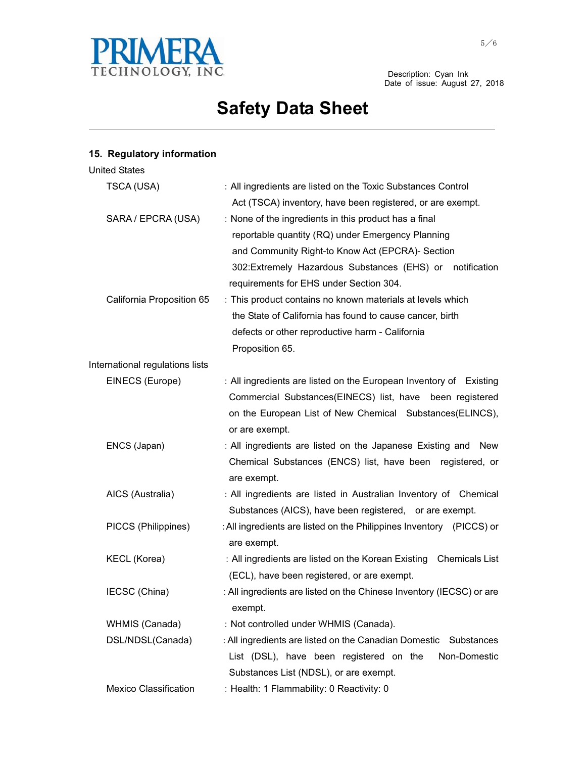

Description: Cyan Ink<br>Date of issue: August 27, 2018

# **Safety Data Sheet**

and the control of the control of the control of the control of the control of the control of the control of the

### **15. Regulatory information**

| <b>United States</b>            |                                                                                                                                                                                                                                                                        |
|---------------------------------|------------------------------------------------------------------------------------------------------------------------------------------------------------------------------------------------------------------------------------------------------------------------|
| TSCA (USA)                      | : All ingredients are listed on the Toxic Substances Control<br>Act (TSCA) inventory, have been registered, or are exempt.                                                                                                                                             |
| SARA / EPCRA (USA)              | : None of the ingredients in this product has a final<br>reportable quantity (RQ) under Emergency Planning<br>and Community Right-to Know Act (EPCRA)- Section<br>302: Extremely Hazardous Substances (EHS) or notification<br>requirements for EHS under Section 304. |
| California Proposition 65       | : This product contains no known materials at levels which<br>the State of California has found to cause cancer, birth<br>defects or other reproductive harm - California<br>Proposition 65.                                                                           |
| International regulations lists |                                                                                                                                                                                                                                                                        |
| EINECS (Europe)                 | : All ingredients are listed on the European Inventory of Existing<br>Commercial Substances(EINECS) list, have been registered<br>on the European List of New Chemical Substances(ELINCS),<br>or are exempt.                                                           |
| ENCS (Japan)                    | : All ingredients are listed on the Japanese Existing and New<br>Chemical Substances (ENCS) list, have been registered, or<br>are exempt.                                                                                                                              |
| AICS (Australia)                | : All ingredients are listed in Australian Inventory of Chemical<br>Substances (AICS), have been registered, or are exempt.                                                                                                                                            |
| PICCS (Philippines)             | : All ingredients are listed on the Philippines Inventory (PICCS) or<br>are exempt.                                                                                                                                                                                    |
| <b>KECL (Korea)</b>             | : All ingredients are listed on the Korean Existing Chemicals List<br>(ECL), have been registered, or are exempt.                                                                                                                                                      |
| IECSC (China)                   | : All ingredients are listed on the Chinese Inventory (IECSC) or are<br>exempt.                                                                                                                                                                                        |
| WHMIS (Canada)                  | : Not controlled under WHMIS (Canada).                                                                                                                                                                                                                                 |
| DSL/NDSL(Canada)                | : All ingredients are listed on the Canadian Domestic<br>Substances<br>List (DSL), have been registered on the<br>Non-Domestic<br>Substances List (NDSL), or are exempt.                                                                                               |
| <b>Mexico Classification</b>    | : Health: 1 Flammability: 0 Reactivity: 0                                                                                                                                                                                                                              |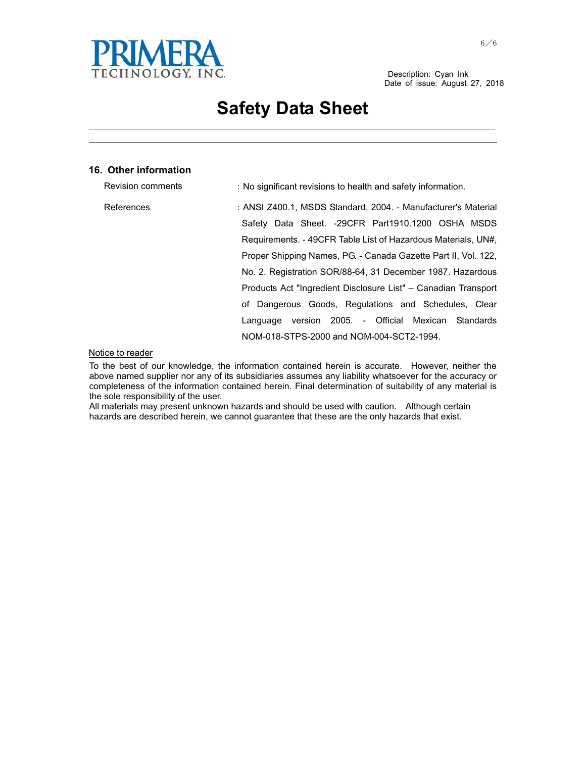

and the control of the control of the control of the control of the control of the control of the control of the the contract of the contract of the contract of the contract of the contract of the contract of the contract of

#### **16. Other information**

| Revision comments | : No significant revisions to health and safety information.   |
|-------------------|----------------------------------------------------------------|
| References        | : ANSI Z400.1, MSDS Standard, 2004. - Manufacturer's Material  |
|                   | Safety Data Sheet. -29CFR Part1910.1200 OSHA MSDS              |
|                   | Requirements. - 49CFR Table List of Hazardous Materials, UN#.  |
|                   | Proper Shipping Names, PG. - Canada Gazette Part II, Vol. 122, |
|                   | No. 2. Registration SOR/88-64, 31 December 1987. Hazardous     |
|                   | Products Act "Ingredient Disclosure List" – Canadian Transport |
|                   | of Dangerous Goods, Regulations and Schedules, Clear           |
|                   | Language version 2005. - Official Mexican Standards            |
|                   | NOM-018-STPS-2000 and NOM-004-SCT2-1994.                       |

#### Notice to reader

To the best of our knowledge, the information contained herein is accurate. However, neither the above named supplier nor any of its subsidiaries assumes any liability whatsoever for the accuracy or completeness of the information contained herein. Final determination of suitability of any material is the sole responsibility of the user.

All materials may present unknown hazards and should be used with caution. Although certain hazards are described herein, we cannot guarantee that these are the only hazards that exist.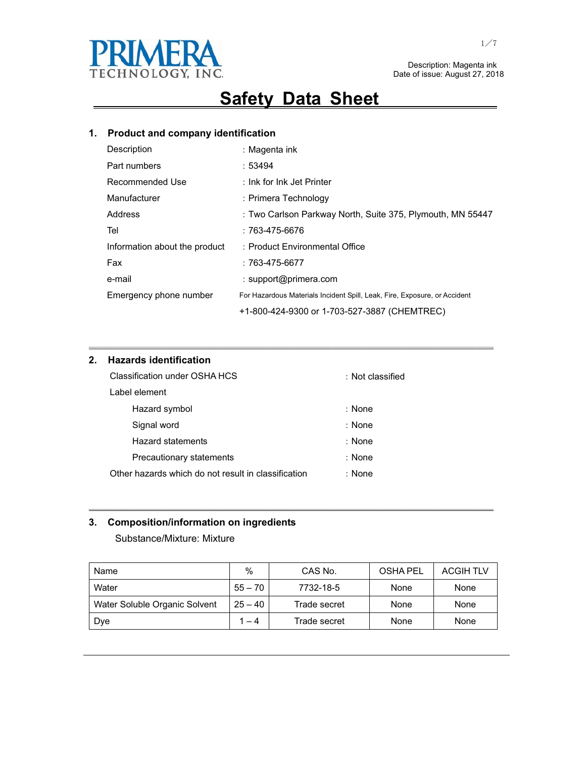

## **Safety Data Sheet**

### **1. Product and company identification**

| Description                   | : Magenta ink                                                             |
|-------------------------------|---------------------------------------------------------------------------|
| Part numbers                  | :53494                                                                    |
| Recommended Use               | : Ink for Ink Jet Printer                                                 |
| Manufacturer                  | : Primera Technology                                                      |
| Address                       | : Two Carlson Parkway North, Suite 375, Plymouth, MN 55447                |
| Tel                           | $:763-475-6676$                                                           |
| Information about the product | : Product Environmental Office                                            |
| Fax                           | : 763-475-6677                                                            |
| e-mail                        | : support@primera.com                                                     |
| Emergency phone number        | For Hazardous Materials Incident Spill, Leak, Fire, Exposure, or Accident |
|                               | +1-800-424-9300 or 1-703-527-3887 (CHEMTREC)                              |

㹝㹝㹝㹝㹝㹝㹝㹝㹝㹝㹝㹝㹝㹝㹝㹝㹝㹝㹝㹝㹝㹝㹝㹝㹝㹝㹝㹝㹝㹝㹝㹝㹝㹝㹝㹝㹝㹝㹝㹝㹝㹝㹝㹝㹝

### **2. Hazards identification**

| Classification under OSHA HCS                       | : Not classified |
|-----------------------------------------------------|------------------|
| Label element                                       |                  |
| Hazard symbol                                       | : None           |
| Signal word                                         | : None           |
| <b>Hazard statements</b>                            | : None           |
| Precautionary statements                            | : None           |
| Other hazards which do not result in classification | : None           |

### **3. Composition/information on ingredients**

Substance/Mixture: Mixture

| Name                          | $\%$      | CAS No.      | <b>OSHA PEL</b> | <b>ACGIH TLV</b> |
|-------------------------------|-----------|--------------|-----------------|------------------|
| Water                         | $55 - 70$ | 7732-18-5    | None            | None             |
| Water Soluble Organic Solvent | $25 - 40$ | Trade secret | None            | None             |
| Dye                           | 1 – 4     | Trade secret | None            | None             |

㹝㹝㹝㹝㹝㹝㹝㹝㹝㹝㹝㹝㹝㹝㹝㹝㹝㹝㹝㹝㹝㹝㹝㹝㹝㹝㹝㹝㹝㹝㹝㹝㹝㹝㹝㹝㹝㹝㹝㹝㹝㹝㹝㹝㹝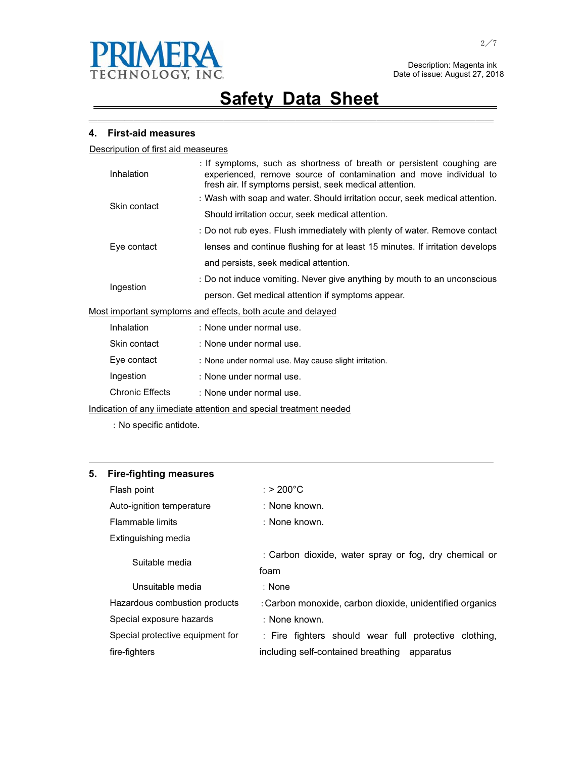

㹝㹝㹝㹝㹝㹝㹝㹝㹝㹝㹝㹝㹝㹝㹝㹝㹝㹝㹝㹝㹝㹝㹝㹝㹝㹝㹝㹝㹝㹝㹝㹝㹝㹝㹝㹝㹝㹝㹝㹝㹝㹝㹝㹝㹝

#### **4. First-aid measures**

Descripution of first aid measeures

|                                                             | Inhalation                                                               | : If symptoms, such as shortness of breath or persistent coughing are<br>experienced, remove source of contamination and move individual to<br>fresh air. If symptoms persist, seek medical attention. |
|-------------------------------------------------------------|--------------------------------------------------------------------------|--------------------------------------------------------------------------------------------------------------------------------------------------------------------------------------------------------|
|                                                             | Skin contact                                                             | : Wash with soap and water. Should irritation occur, seek medical attention.                                                                                                                           |
|                                                             |                                                                          | Should irritation occur, seek medical attention.                                                                                                                                                       |
|                                                             |                                                                          | : Do not rub eyes. Flush immediately with plenty of water. Remove contact                                                                                                                              |
|                                                             | Eye contact                                                              | lenses and continue flushing for at least 15 minutes. If irritation develops                                                                                                                           |
|                                                             |                                                                          | and persists, seek medical attention.                                                                                                                                                                  |
|                                                             | : Do not induce vomiting. Never give anything by mouth to an unconscious |                                                                                                                                                                                                        |
|                                                             | Ingestion                                                                | person. Get medical attention if symptoms appear.                                                                                                                                                      |
| Most important symptoms and effects, both acute and delayed |                                                                          |                                                                                                                                                                                                        |
|                                                             | Inhalation                                                               | : None under normal use.                                                                                                                                                                               |
|                                                             | Skin contact                                                             | : None under normal use.                                                                                                                                                                               |
|                                                             | Eye contact                                                              | : None under normal use. May cause slight irritation.                                                                                                                                                  |
|                                                             | Ingestion                                                                | : None under normal use.                                                                                                                                                                               |
|                                                             |                                                                          |                                                                                                                                                                                                        |

Chronic Effects : None under normal use.

Indication of any iimediate attention and special treatment needed

: No specific antidote.

#### **5. Fire-fighting measures**

| Flash point                      | : > 200°C                                                |
|----------------------------------|----------------------------------------------------------|
| Auto-ignition temperature        | : None known.                                            |
| Flammable limits                 | : None known.                                            |
| Extinguishing media              |                                                          |
| Suitable media                   | : Carbon dioxide, water spray or fog, dry chemical or    |
|                                  | foam                                                     |
| Unsuitable media                 | : None                                                   |
| Hazardous combustion products    | : Carbon monoxide, carbon dioxide, unidentified organics |
| Special exposure hazards         | : None known.                                            |
| Special protective equipment for | : Fire fighters should wear full protective clothing,    |
| fire-fighters                    | including self-contained breathing<br>apparatus          |

<u> 1989 - Johann Stoff, amerikansk politiker (d. 1989)</u>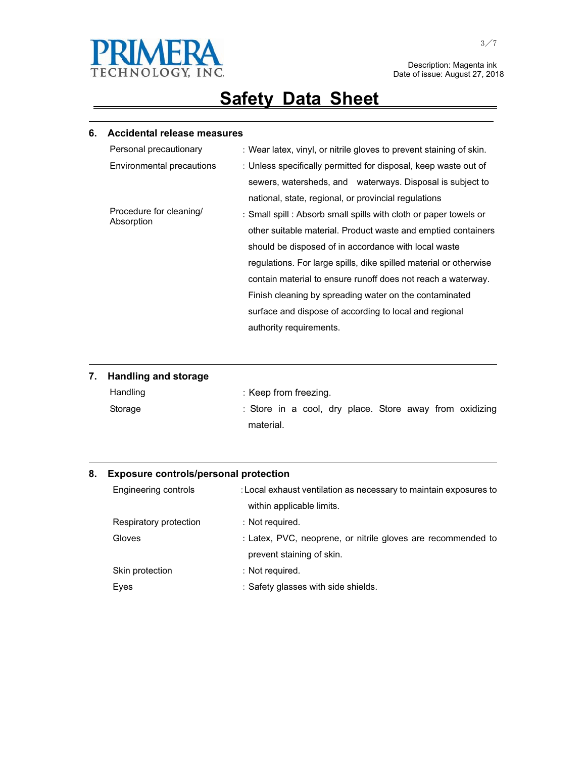

# **Safety Data Sheet**

<u> 1989 - Johann Stoff, amerikansk politiker (d. 1989)</u>

#### **6. Accidental release measures**

| Personal precautionary                | : Wear latex, vinyl, or nitrile gloves to prevent staining of skin. |
|---------------------------------------|---------------------------------------------------------------------|
| Environmental precautions             | : Unless specifically permitted for disposal, keep waste out of     |
|                                       | sewers, watersheds, and waterways. Disposal is subject to           |
|                                       | national, state, regional, or provincial regulations                |
| Procedure for cleaning/<br>Absorption | : Small spill : Absorb small spills with cloth or paper towels or   |
|                                       | other suitable material. Product waste and emptied containers       |
|                                       | should be disposed of in accordance with local waste                |
|                                       | regulations. For large spills, dike spilled material or otherwise   |
|                                       | contain material to ensure runoff does not reach a waterway.        |
|                                       | Finish cleaning by spreading water on the contaminated              |
|                                       | surface and dispose of according to local and regional              |
|                                       | authority requirements.                                             |

| 7. Handling and storage |                                                         |
|-------------------------|---------------------------------------------------------|
| Handling                | : Keep from freezing.                                   |
| Storage                 | : Store in a cool, dry place. Store away from oxidizing |
|                         | material.                                               |

<u> 1989 - Johann Stoff, amerikansk politiker (d. 1989)</u>

<u> 1989 - Johann Stoff, amerikansk politiker (d. 1989)</u>

#### **8. Exposure controls/personal protection**

| Engineering controls   | : Local exhaust ventilation as necessary to maintain exposures to |
|------------------------|-------------------------------------------------------------------|
|                        | within applicable limits.                                         |
| Respiratory protection | : Not required.                                                   |
| Gloves                 | : Latex, PVC, neoprene, or nitrile gloves are recommended to      |
|                        | prevent staining of skin.                                         |
| Skin protection        | : Not required.                                                   |
| Eyes                   | : Safety glasses with side shields.                               |

 $\overline{\phantom{0}}$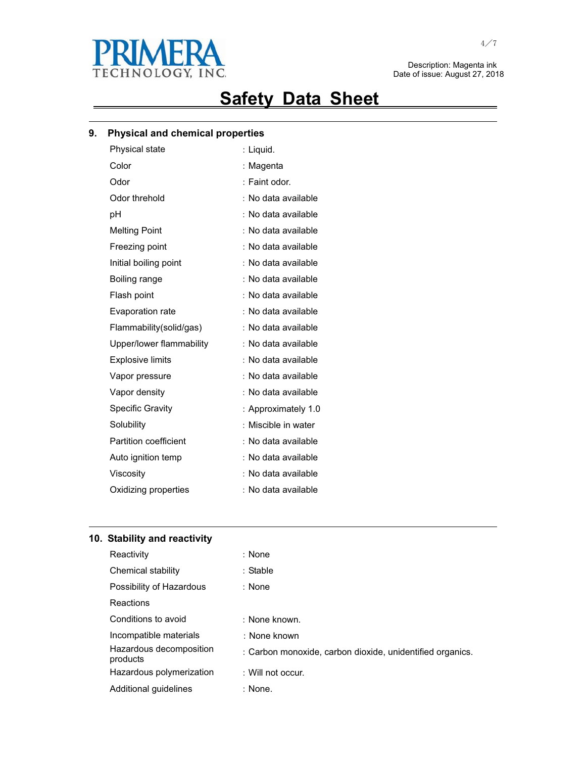

# **Safety Data Sheet**

<u> 1989 - Johann Stoff, amerikansk politiker (d. 1989)</u>

### **9. Physical and chemical properties**

| Physical state               | : Liquid.           |
|------------------------------|---------------------|
| Color                        | : Magenta           |
| Odor                         | : Faint odor.       |
| Odor threhold                | No data available   |
| рH                           | : No data available |
| <b>Melting Point</b>         | : No data available |
| Freezing point               | : No data available |
| Initial boiling point        | No data available   |
| Boiling range                | No data available   |
| Flash point                  | : No data available |
| <b>Evaporation rate</b>      | No data available   |
| Flammability(solid/gas)      | : No data available |
| Upper/lower flammability     | No data available   |
| <b>Explosive limits</b>      | No data available   |
| Vapor pressure               | No data available   |
| Vapor density                | : No data available |
| <b>Specific Gravity</b>      | : Approximately 1.0 |
| Solubility                   | Miscible in water   |
| <b>Partition coefficient</b> | : No data available |
| Auto ignition temp           | : No data available |
| Viscosity                    | No data available   |
| Oxidizing properties         | : No data available |
|                              |                     |

### **10. Stability and reactivity**

| Reactivity                          | : None                                                    |
|-------------------------------------|-----------------------------------------------------------|
| Chemical stability                  | : Stable                                                  |
| Possibility of Hazardous            | : None                                                    |
| Reactions                           |                                                           |
| Conditions to avoid                 | : None known.                                             |
| Incompatible materials              | : None known                                              |
| Hazardous decomposition<br>products | : Carbon monoxide, carbon dioxide, unidentified organics. |
| Hazardous polymerization            | : Will not occur.                                         |
| Additional quidelines               | : None.                                                   |

<u> 1989 - Johann Stoff, amerikansk politiker (\* 1908)</u>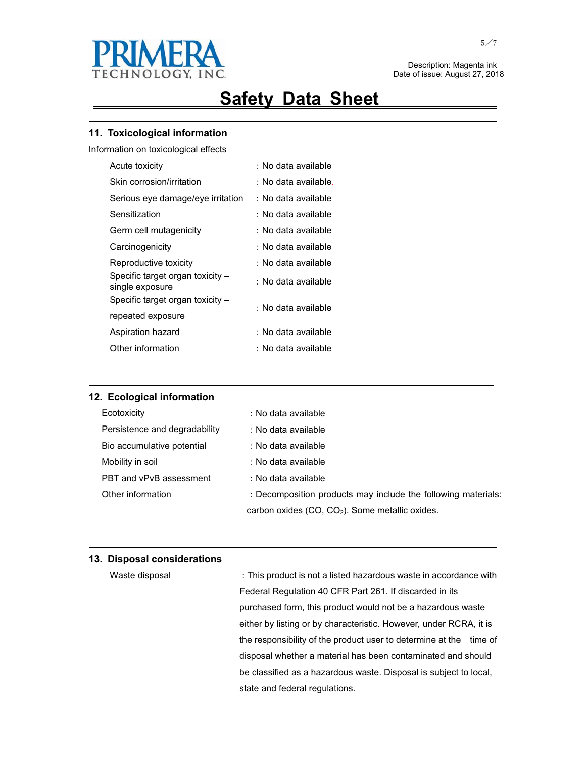

# **Safety Data Sheet**

<u> 1989 - Johann Stoff, amerikansk politiker (d. 1989)</u>

### **11. Toxicological information**

Information on toxicological effects

| Acute toxicity                                      | : No data available  |
|-----------------------------------------------------|----------------------|
| Skin corrosion/irritation                           | : No data available. |
| Serious eye damage/eye irritation                   | : No data available  |
| Sensitization                                       | : No data available  |
| Germ cell mutagenicity                              | : No data available  |
| Carcinogenicity                                     | ∶ No data available  |
| Reproductive toxicity                               | : No data available  |
| Specific target organ toxicity -<br>single exposure | : No data available  |
| Specific target organ toxicity -                    | : No data available  |
| repeated exposure                                   |                      |
| Aspiration hazard                                   | : No data available  |
| Other information                                   | : No data available  |

#### **12. Ecological information**

| Ecotoxicity                   | : No data available                                           |
|-------------------------------|---------------------------------------------------------------|
| Persistence and degradability | : No data available                                           |
| Bio accumulative potential    | : No data available                                           |
| Mobility in soil              | : No data available                                           |
| PBT and vPvB assessment       | : No data available                                           |
| Other information             | : Decomposition products may include the following materials: |
|                               | carbon oxides (CO, CO <sub>2</sub> ). Some metallic oxides.   |

<u> 1989 - Johann Stoff, amerikansk politiker (d. 1989)</u>

and the control of the control of the control of the control of the control of the control of the control of the

#### **13. Disposal considerations**

| Waste disposal | : This product is not a listed hazardous waste in accordance with     |
|----------------|-----------------------------------------------------------------------|
|                | Federal Regulation 40 CFR Part 261. If discarded in its               |
|                | purchased form, this product would not be a hazardous waste           |
|                | either by listing or by characteristic. However, under RCRA, it is    |
|                | the responsibility of the product user to determine at the<br>time of |
|                | disposal whether a material has been contaminated and should          |
|                | be classified as a hazardous waste. Disposal is subject to local,     |
|                | state and federal regulations.                                        |

 $\overline{\phantom{0}}$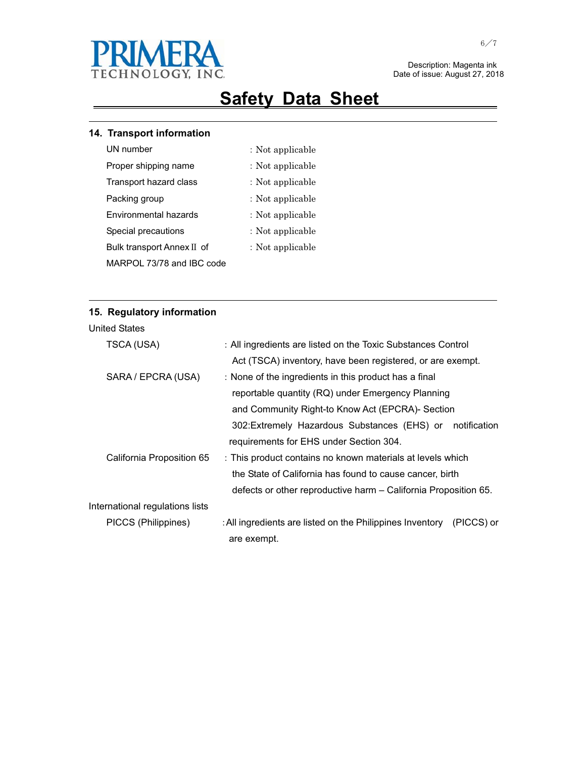

## **Safety Data Sheet**

<u> 1989 - Johann Stoff, amerikansk politiker (d. 1989)</u>

### **14. Transport information**

- 
- UN number  $\qquad \qquad :$  Not applicable
- Proper shipping name  $\cdot$  Not applicable
- Transport hazard class : Not applicable
- Packing group  $\qquad \qquad :$  Not applicable
- Environmental hazards  $\qquad \qquad :$  Not applicable
- Special precautions  $\qquad \qquad :$  Not applicable
	- : Not applicable

<u> 1989 - Johann Stoff, amerikansk politiker (d. 1989)</u>

MARPOL 73/78 and IBC code

Bulk transport Annex II of

### **15. Regulatory information**

| TSCA (USA)                      | : All ingredients are listed on the Toxic Substances Control            |  |  |  |
|---------------------------------|-------------------------------------------------------------------------|--|--|--|
|                                 | Act (TSCA) inventory, have been registered, or are exempt.              |  |  |  |
| SARA / EPCRA (USA)              | : None of the ingredients in this product has a final                   |  |  |  |
|                                 | reportable quantity (RQ) under Emergency Planning                       |  |  |  |
|                                 | and Community Right-to Know Act (EPCRA)- Section                        |  |  |  |
|                                 | 302: Extremely Hazardous Substances (EHS) or<br>notification            |  |  |  |
|                                 | requirements for EHS under Section 304.                                 |  |  |  |
| California Proposition 65       | : This product contains no known materials at levels which              |  |  |  |
|                                 | the State of California has found to cause cancer, birth                |  |  |  |
|                                 | defects or other reproductive harm - California Proposition 65.         |  |  |  |
| International regulations lists |                                                                         |  |  |  |
| PICCS (Philippines)             | : All ingredients are listed on the Philippines Inventory<br>(PICCS) or |  |  |  |
|                                 | are exempt.                                                             |  |  |  |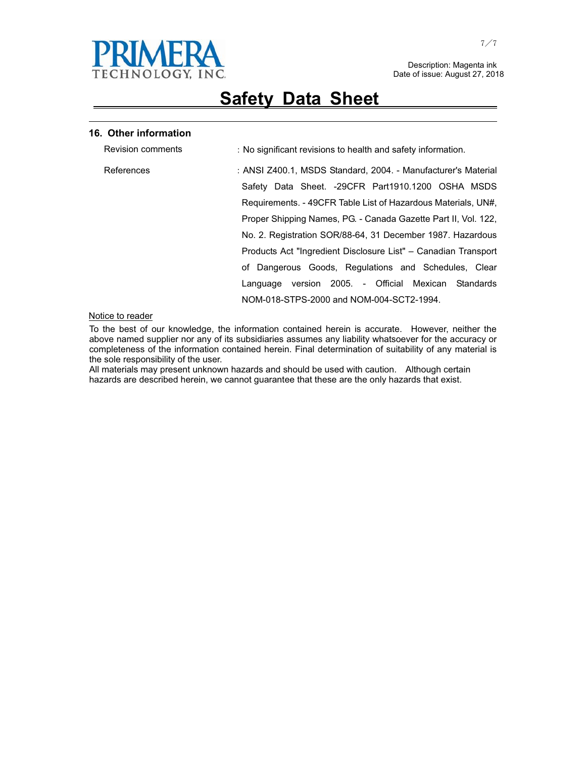

## **Safety Data Sheet**

<u> 1989 - Johann Stoff, amerikansk politiker (d. 1989)</u>

#### **16. Other information**

| <b>Revision comments</b> | : No significant revisions to health and safety information.   |
|--------------------------|----------------------------------------------------------------|
| References               | : ANSI Z400.1, MSDS Standard, 2004. - Manufacturer's Material  |
|                          | Safety Data Sheet. -29CFR Part1910.1200 OSHA MSDS              |
|                          | Requirements. - 49CFR Table List of Hazardous Materials, UN#,  |
|                          | Proper Shipping Names, PG. - Canada Gazette Part II, Vol. 122, |
|                          | No. 2. Registration SOR/88-64, 31 December 1987. Hazardous     |
|                          | Products Act "Ingredient Disclosure List" – Canadian Transport |
|                          | of Dangerous Goods, Regulations and Schedules, Clear           |
|                          | version 2005. - Official Mexican Standards<br>Language         |
|                          | NOM-018-STPS-2000 and NOM-004-SCT2-1994.                       |

#### Notice to reader

To the best of our knowledge, the information contained herein is accurate. However, neither the above named supplier nor any of its subsidiaries assumes any liability whatsoever for the accuracy or completeness of the information contained herein. Final determination of suitability of any material is the sole responsibility of the user.

All materials may present unknown hazards and should be used with caution. Although certain hazards are described herein, we cannot guarantee that these are the only hazards that exist.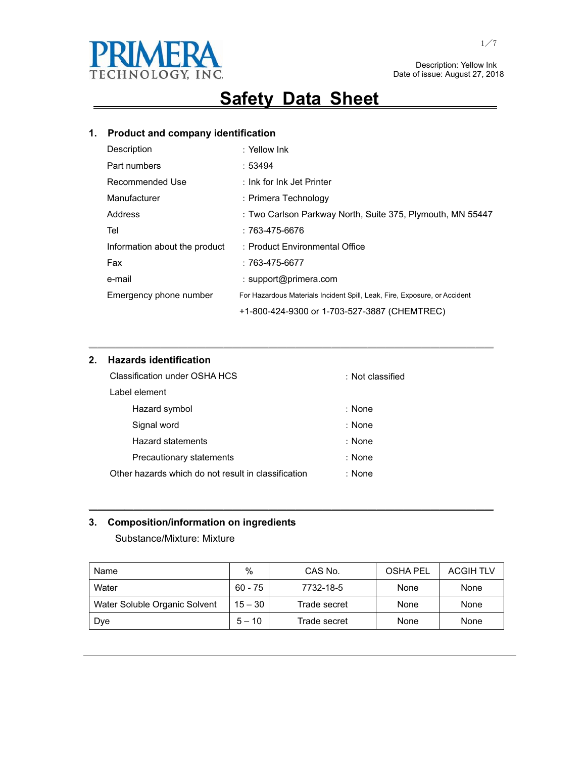

 Description: Yellow Ink Date of issue: August 27, 2018

## **Safety Data Sheet**

### **1. Product and company identification**

| Description                   | : Yellow Ink                                                              |
|-------------------------------|---------------------------------------------------------------------------|
| Part numbers                  | :53494                                                                    |
| Recommended Use               | : Ink for Ink Jet Printer                                                 |
| Manufacturer                  | : Primera Technology                                                      |
| Address                       | : Two Carlson Parkway North, Suite 375, Plymouth, MN 55447                |
| Tel                           | $:763-475-6676$                                                           |
| Information about the product | : Product Environmental Office                                            |
| Fax                           | $:763-475-6677$                                                           |
| e-mail                        | : support@primera.com                                                     |
| Emergency phone number        | For Hazardous Materials Incident Spill, Leak, Fire, Exposure, or Accident |
|                               | +1-800-424-9300 or 1-703-527-3887 (CHEMTREC)                              |

㹝㹝㹝㹝㹝㹝㹝㹝㹝㹝㹝㹝㹝㹝㹝㹝㹝㹝㹝㹝㹝㹝㹝㹝㹝㹝㹝㹝㹝㹝㹝㹝㹝㹝㹝㹝㹝㹝㹝㹝㹝㹝㹝㹝㹝

### **2. Hazards identification**

| Classification under OSHA HCS                       | : Not classified |
|-----------------------------------------------------|------------------|
| Label element                                       |                  |
| Hazard symbol                                       | : None           |
| Signal word                                         | : None           |
| <b>Hazard statements</b>                            | : None           |
| Precautionary statements                            | : None           |
| Other hazards which do not result in classification | : None           |

### **3. Composition/information on ingredients**

Substance/Mixture: Mixture

| Name                          | %         | CAS No.      | <b>OSHA PEL</b> | <b>ACGIH TLV</b> |
|-------------------------------|-----------|--------------|-----------------|------------------|
| Water                         | $60 - 75$ | 7732-18-5    | None            | None             |
| Water Soluble Organic Solvent | $15 - 30$ | Trade secret | None            | None             |
| Dye                           | $5 - 10$  | Trade secret | None            | None             |

㹝㹝㹝㹝㹝㹝㹝㹝㹝㹝㹝㹝㹝㹝㹝㹝㹝㹝㹝㹝㹝㹝㹝㹝㹝㹝㹝㹝㹝㹝㹝㹝㹝㹝㹝㹝㹝㹝㹝㹝㹝㹝㹝㹝㹝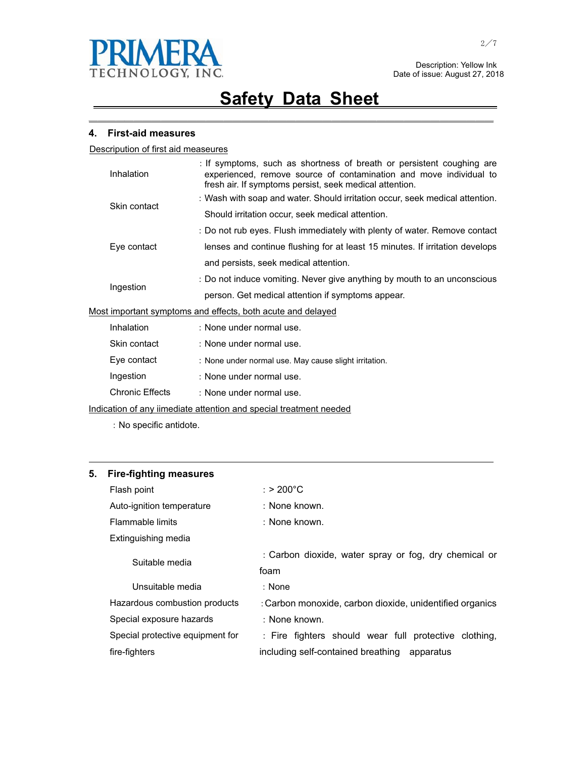

㹝㹝㹝㹝㹝㹝㹝㹝㹝㹝㹝㹝㹝㹝㹝㹝㹝㹝㹝㹝㹝㹝㹝㹝㹝㹝㹝㹝㹝㹝㹝㹝㹝㹝㹝㹝㹝㹝㹝㹝㹝㹝㹝㹝㹝

#### **4. First-aid measures**

Descripution of first aid measeures

|           | Inhalation   | : If symptoms, such as shortness of breath or persistent coughing are<br>experienced, remove source of contamination and move individual to<br>fresh air. If symptoms persist, seek medical attention. |
|-----------|--------------|--------------------------------------------------------------------------------------------------------------------------------------------------------------------------------------------------------|
|           | Skin contact | : Wash with soap and water. Should irritation occur, seek medical attention.                                                                                                                           |
|           |              | Should irritation occur, seek medical attention.                                                                                                                                                       |
|           |              | : Do not rub eyes. Flush immediately with plenty of water. Remove contact                                                                                                                              |
|           | Eye contact  | lenses and continue flushing for at least 15 minutes. If irritation develops                                                                                                                           |
|           |              | and persists, seek medical attention.                                                                                                                                                                  |
| Ingestion |              | : Do not induce vomiting. Never give anything by mouth to an unconscious                                                                                                                               |
|           |              | person. Get medical attention if symptoms appear.                                                                                                                                                      |
|           |              | Most important symptoms and effects, both acute and delayed                                                                                                                                            |
|           | Inhalation   | : None under normal use.                                                                                                                                                                               |
|           | Skin contact | : None under normal use.                                                                                                                                                                               |
|           | Eye contact  | : None under normal use. May cause slight irritation.                                                                                                                                                  |
|           | Ingestion    | : None under normal use.                                                                                                                                                                               |

Chronic Effects : None under normal use.

Indication of any iimediate attention and special treatment needed

: No specific antidote.

#### **5. Fire-fighting measures**

| Flash point                      | : > 200°C                                                |  |  |  |  |  |
|----------------------------------|----------------------------------------------------------|--|--|--|--|--|
| Auto-ignition temperature        | : None known.                                            |  |  |  |  |  |
| Flammable limits                 | : None known.                                            |  |  |  |  |  |
| Extinguishing media              |                                                          |  |  |  |  |  |
| Suitable media                   | : Carbon dioxide, water spray or fog, dry chemical or    |  |  |  |  |  |
|                                  | foam                                                     |  |  |  |  |  |
| Unsuitable media                 | : None                                                   |  |  |  |  |  |
| Hazardous combustion products    | : Carbon monoxide, carbon dioxide, unidentified organics |  |  |  |  |  |
| Special exposure hazards         | : None known.                                            |  |  |  |  |  |
| Special protective equipment for | : Fire fighters should wear full protective clothing,    |  |  |  |  |  |
| fire-fighters                    | including self-contained breathing<br>apparatus          |  |  |  |  |  |

<u> 1989 - Johann Stoff, amerikansk politiker (d. 1989)</u>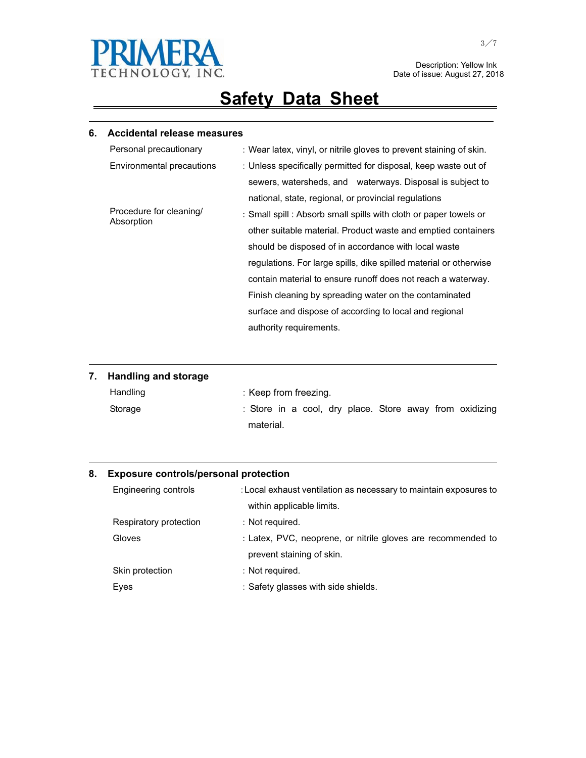

 Description: Yellow Ink Date of issue: August 27, 2018

# **Safety Data Sheet**

<u> 1989 - Johann Stoff, amerikansk politiker (d. 1989)</u>

### **6. Accidental release measures**

|  | Personal precautionary    | : Wear latex, vinyl, or nitrile gloves to prevent staining of skin. |  |  |  |  |  |
|--|---------------------------|---------------------------------------------------------------------|--|--|--|--|--|
|  | Environmental precautions | : Unless specifically permitted for disposal, keep waste out of     |  |  |  |  |  |
|  |                           | sewers, watersheds, and waterways. Disposal is subject to           |  |  |  |  |  |
|  |                           | national, state, regional, or provincial regulations                |  |  |  |  |  |
|  | Procedure for cleaning/   | : Small spill : Absorb small spills with cloth or paper towels or   |  |  |  |  |  |
|  | Absorption                | other suitable material. Product waste and emptied containers       |  |  |  |  |  |
|  |                           | should be disposed of in accordance with local waste                |  |  |  |  |  |
|  |                           | regulations. For large spills, dike spilled material or otherwise   |  |  |  |  |  |
|  |                           | contain material to ensure runoff does not reach a waterway.        |  |  |  |  |  |
|  |                           | Finish cleaning by spreading water on the contaminated              |  |  |  |  |  |
|  |                           | surface and dispose of according to local and regional              |  |  |  |  |  |
|  |                           | authority requirements.                                             |  |  |  |  |  |

## **7. Handling and storage**

| Handling |           |  | : Keep from freezing. |  |  |                                                         |
|----------|-----------|--|-----------------------|--|--|---------------------------------------------------------|
| Storage  |           |  |                       |  |  | : Store in a cool, dry place. Store away from oxidizing |
|          | material. |  |                       |  |  |                                                         |

<u> 1989 - Johann Stoff, amerikansk politiker (d. 1989)</u>

<u> 1989 - Johann Stoff, amerikansk politiker (d. 1989)</u>

#### **8. Exposure controls/personal protection**

|      | Engineering controls   | : Local exhaust ventilation as necessary to maintain exposures to |  |
|------|------------------------|-------------------------------------------------------------------|--|
|      |                        | within applicable limits.                                         |  |
|      | Respiratory protection | : Not required.                                                   |  |
|      | Gloves                 | : Latex, PVC, neoprene, or nitrile gloves are recommended to      |  |
|      |                        | prevent staining of skin.                                         |  |
|      | Skin protection        | : Not required.                                                   |  |
| Eyes |                        | : Safety glasses with side shields.                               |  |

 $\overline{\phantom{0}}$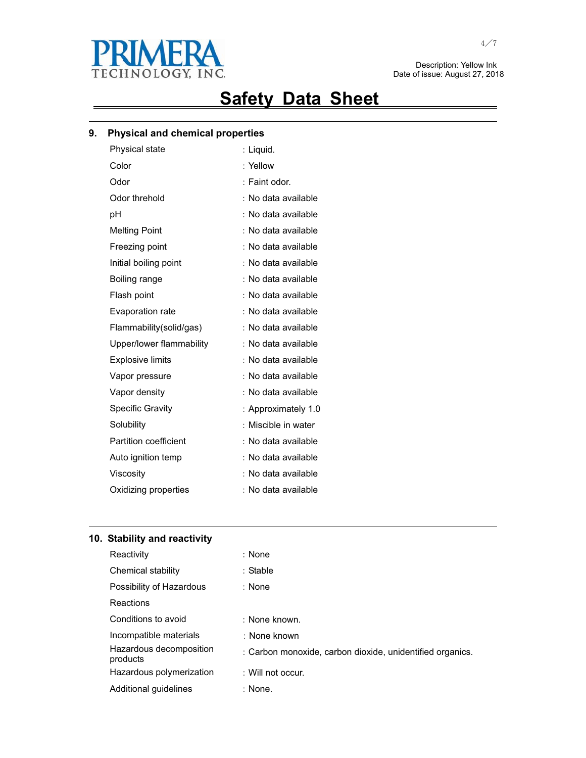

 Description: Yellow Ink Date of issue: August 27, 2018

# **Safety Data Sheet**

<u> 1989 - Johann Stoff, amerikansk politiker (d. 1989)</u>

### **9. Physical and chemical properties**

| Physical state               | : Liquid.           |
|------------------------------|---------------------|
| Color                        | : Yellow            |
| Odor                         | : Faint odor.       |
| Odor threhold                | No data available   |
| рH                           | : No data available |
| <b>Melting Point</b>         | : No data available |
| Freezing point               | : No data available |
| Initial boiling point        | No data available   |
| Boiling range                | No data available   |
| Flash point                  | : No data available |
| Evaporation rate             | No data available   |
| Flammability(solid/gas)      | : No data available |
| Upper/lower flammability     | No data available   |
| <b>Explosive limits</b>      | No data available   |
| Vapor pressure               | : No data available |
| Vapor density                | : No data available |
| <b>Specific Gravity</b>      | : Approximately 1.0 |
| Solubility                   | Miscible in water   |
| <b>Partition coefficient</b> | : No data available |
| Auto ignition temp           | : No data available |
| Viscosity                    | No data available   |
| Oxidizing properties         | : No data available |
|                              |                     |

### **10. Stability and reactivity**

| Reactivity                          | : None                                                    |
|-------------------------------------|-----------------------------------------------------------|
| Chemical stability                  | : Stable                                                  |
| Possibility of Hazardous            | : None                                                    |
| Reactions                           |                                                           |
| Conditions to avoid                 | : None known.                                             |
| Incompatible materials              | : None known                                              |
| Hazardous decomposition<br>products | : Carbon monoxide, carbon dioxide, unidentified organics. |
| Hazardous polymerization            | : Will not occur.                                         |
| Additional quidelines               | : None.                                                   |

<u> 1989 - Johann Stoff, amerikansk politiker (\* 1908)</u>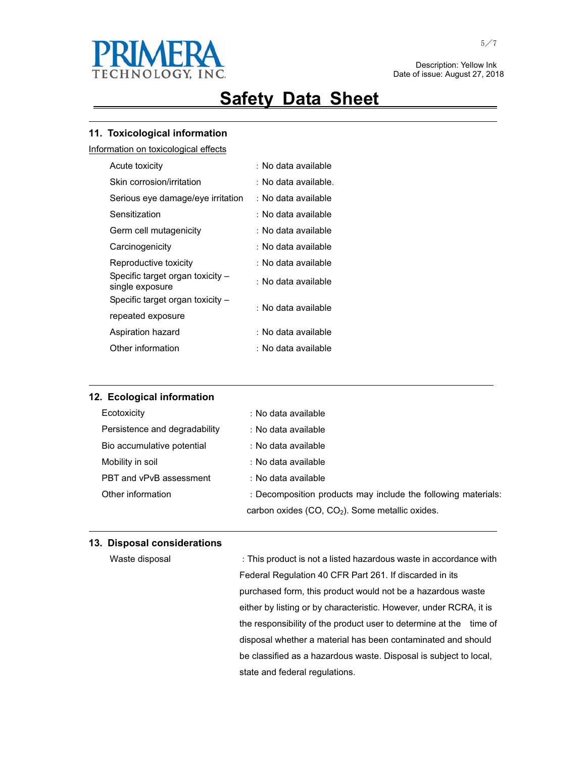

 Description: Yellow Ink Date of issue: August 27, 2018

## **Safety Data Sheet**

<u> 1989 - Johann Stoff, amerikansk politiker (d. 1989)</u>

#### **11. Toxicological information**

Information on toxicological effects

| Acute toxicity                                      | : No data available  |  |
|-----------------------------------------------------|----------------------|--|
| Skin corrosion/irritation                           | : No data available. |  |
| Serious eye damage/eye irritation                   | : No data available  |  |
| Sensitization                                       | : No data available  |  |
| Germ cell mutagenicity                              | : No data available  |  |
| Carcinogenicity                                     | : No data available  |  |
| Reproductive toxicity                               | : No data available  |  |
| Specific target organ toxicity -<br>single exposure | : No data available  |  |
| Specific target organ toxicity -                    | : No data available  |  |
| repeated exposure                                   |                      |  |
| Aspiration hazard                                   | : No data available  |  |
| Other information                                   | : No data available  |  |

| 12. Ecological information    |                                                               |  |  |  |
|-------------------------------|---------------------------------------------------------------|--|--|--|
| Ecotoxicity                   | : No data available                                           |  |  |  |
| Persistence and degradability | : No data available                                           |  |  |  |
| Bio accumulative potential    | : No data available                                           |  |  |  |
| Mobility in soil              | : No data available                                           |  |  |  |
| PBT and vPvB assessment       | : No data available                                           |  |  |  |
| Other information             | : Decomposition products may include the following materials: |  |  |  |
|                               | carbon oxides $(CO, CO2)$ . Some metallic oxides.             |  |  |  |

<u> 1989 - Johann Stoff, amerikansk politiker (d. 1989)</u>

and the control of the control of the control of the control of the control of the control of the control of the

#### **13. Disposal considerations**

Waste disposal **This product is not a listed hazardous waste in accordance with** Federal Regulation 40 CFR Part 261. If discarded in its purchased form, this product would not be a hazardous waste either by listing or by characteristic. However, under RCRA, it is the responsibility of the product user to determine at the time of disposal whether a material has been contaminated and should be classified as a hazardous waste. Disposal is subject to local, state and federal regulations.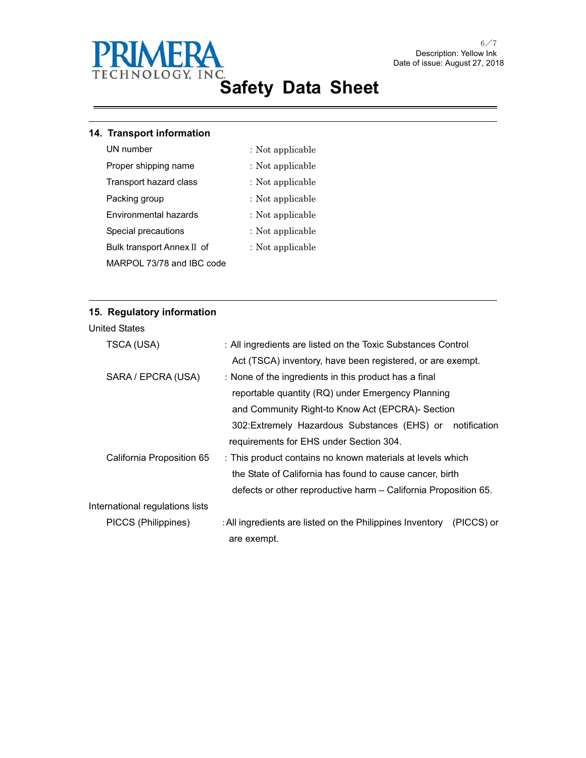

### **14. Transport information**

- UN number  $\qquad \qquad :$  Not applicable
	-
- 
- Proper shipping name  $\cdot$  Not applicable
- Transport hazard class : Not applicable
- Packing group  $\qquad \qquad :$  Not applicable
- Environmental hazards : Not applicable
- Special precautions  $\qquad \qquad :$  Not applicable
	- : Not applicable

MARPOL 73/78 and IBC code

Bulk transport Annex II of

<u> 1989 - Johann Stoff, amerikansk politiker (d. 1989)</u>

### **15. Regulatory information**

| TSCA (USA)                      | : All ingredients are listed on the Toxic Substances Control            |
|---------------------------------|-------------------------------------------------------------------------|
|                                 | Act (TSCA) inventory, have been registered, or are exempt.              |
| SARA / EPCRA (USA)              | : None of the ingredients in this product has a final                   |
|                                 | reportable quantity (RQ) under Emergency Planning                       |
|                                 | and Community Right-to Know Act (EPCRA)- Section                        |
|                                 | notification<br>302: Extremely Hazardous Substances (EHS) or            |
|                                 | requirements for EHS under Section 304.                                 |
| California Proposition 65       | : This product contains no known materials at levels which              |
|                                 | the State of California has found to cause cancer, birth                |
|                                 | defects or other reproductive harm – California Proposition 65.         |
| International regulations lists |                                                                         |
| PICCS (Philippines)             | : All ingredients are listed on the Philippines Inventory<br>(PICCS) or |
|                                 | are exempt.                                                             |